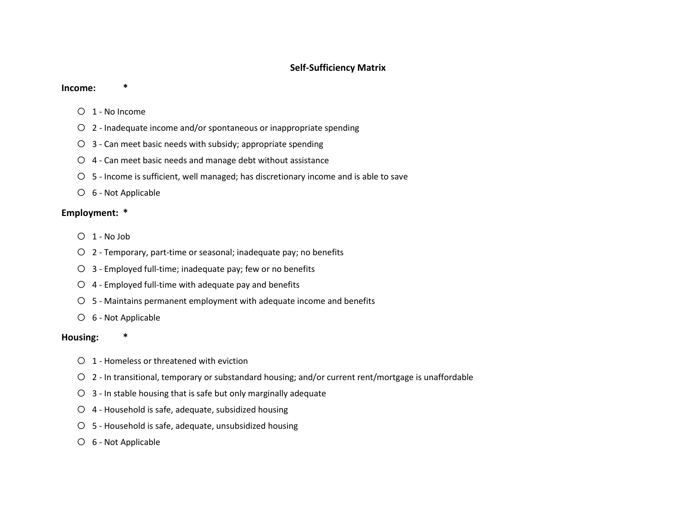## **Self-Sufficiency Matrix**

#### **Income: \***

- o 1 No Income
- o 2 Inadequate income and/or spontaneous or inappropriate spending
- $\bigcirc$  3 Can meet basic needs with subsidy; appropriate spending
- $O$  4 Can meet basic needs and manage debt without assistance
- o 5 Income is sufficient, well managed; has discretionary income and is able to save
- o 6 Not Applicable

## **Employment: \***

- o 1 No Job
- o 2 Temporary, part-time or seasonal; inadequate pay; no benefits
- o 3 Employed full-time; inadequate pay; few or no benefits
- $O$  4 Employed full-time with adequate pay and benefits
- o 5 Maintains permanent employment with adequate income and benefits
- o 6 Not Applicable

#### **Housing: \***

- o 1 Homeless or threatened with eviction
- o 2 In transitional, temporary or substandard housing; and/or current rent/mortgage is unaffordable
- $O$  3 In stable housing that is safe but only marginally adequate
- o 4 Household is safe, adequate, subsidized housing
- o 5 Household is safe, adequate, unsubsidized housing
- o 6 Not Applicable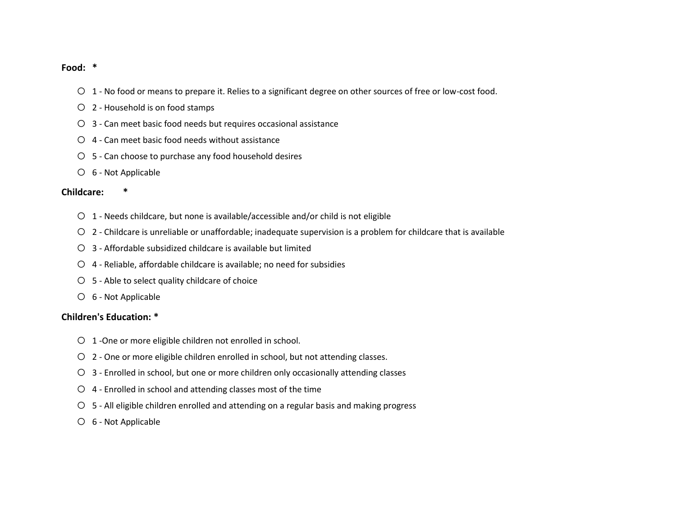#### **Food: \***

- o 1 No food or means to prepare it. Relies to a significant degree on other sources of free or low-cost food.
- o 2 Household is on food stamps
- o 3 Can meet basic food needs but requires occasional assistance
- $O$  4 Can meet basic food needs without assistance
- o 5 Can choose to purchase any food household desires
- o 6 Not Applicable

#### **Childcare: \***

- o 1 Needs childcare, but none is available/accessible and/or child is not eligible
- o 2 Childcare is unreliable or unaffordable; inadequate supervision is a problem for childcare that is available
- $\bigcirc$  3 Affordable subsidized childcare is available but limited
- o 4 Reliable, affordable childcare is available; no need for subsidies
- o 5 Able to select quality childcare of choice
- o 6 Not Applicable

## **Children's Education: \***

- o 1 -One or more eligible children not enrolled in school.
- o 2 One or more eligible children enrolled in school, but not attending classes.
- o 3 Enrolled in school, but one or more children only occasionally attending classes
- o 4 Enrolled in school and attending classes most of the time
- o 5 All eligible children enrolled and attending on a regular basis and making progress
- o 6 Not Applicable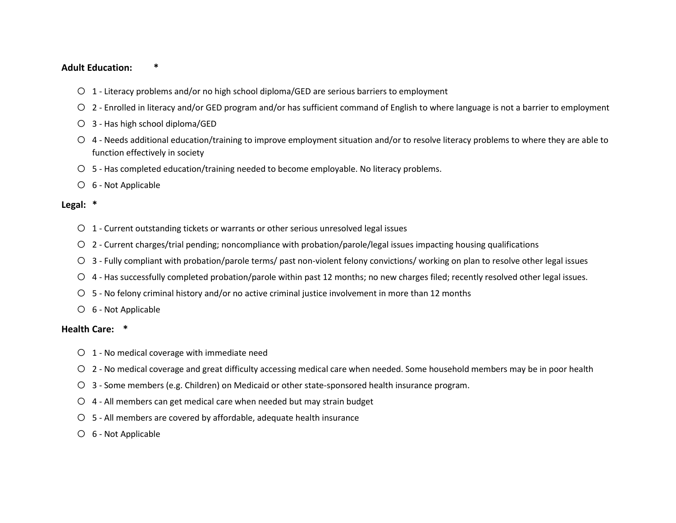### **Adult Education: \***

- o 1 Literacy problems and/or no high school diploma/GED are serious barriers to employment
- o 2 Enrolled in literacy and/or GED program and/or has sufficient command of English to where language is not a barrier to employment
- o 3 Has high school diploma/GED
- o 4 Needs additional education/training to improve employment situation and/or to resolve literacy problems to where they are able to function effectively in society
- o 5 Has completed education/training needed to become employable. No literacy problems.
- o 6 Not Applicable

### **Legal: \***

- $O$  1 Current outstanding tickets or warrants or other serious unresolved legal issues
- $\circ$  2 Current charges/trial pending; noncompliance with probation/parole/legal issues impacting housing qualifications
- o 3 Fully compliant with probation/parole terms/ past non-violent felony convictions/ working on plan to resolve other legal issues
- o 4 Has successfully completed probation/parole within past 12 months; no new charges filed; recently resolved other legal issues.
- o 5 No felony criminal history and/or no active criminal justice involvement in more than 12 months
- o 6 Not Applicable

#### **Health Care: \***

- $O$  1 No medical coverage with immediate need
- o 2 No medical coverage and great difficulty accessing medical care when needed. Some household members may be in poor health
- o 3 Some members (e.g. Children) on Medicaid or other state-sponsored health insurance program.
- $\circ$  4 All members can get medical care when needed but may strain budget
- $\circ$  5 All members are covered by affordable, adequate health insurance
- o 6 Not Applicable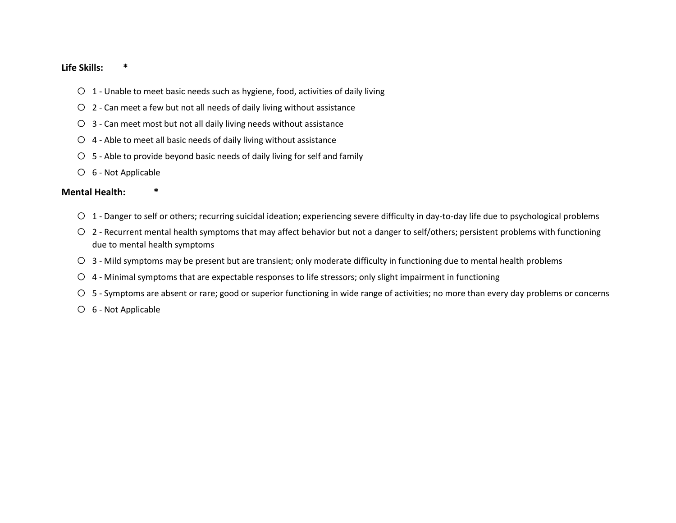## **Life Skills: \***

- o 1 Unable to meet basic needs such as hygiene, food, activities of daily living
- $\circ$  2 Can meet a few but not all needs of daily living without assistance
- $\circ$  3 Can meet most but not all daily living needs without assistance
- $\circ$  4 Able to meet all basic needs of daily living without assistance
- $\circ$  5 Able to provide beyond basic needs of daily living for self and family
- o 6 Not Applicable

## **Mental Health: \***

- o 1 Danger to self or others; recurring suicidal ideation; experiencing severe difficulty in day-to-day life due to psychological problems
- o 2 Recurrent mental health symptoms that may affect behavior but not a danger to self/others; persistent problems with functioning due to mental health symptoms
- o 3 Mild symptoms may be present but are transient; only moderate difficulty in functioning due to mental health problems
- o 4 Minimal symptoms that are expectable responses to life stressors; only slight impairment in functioning
- o 5 Symptoms are absent or rare; good or superior functioning in wide range of activities; no more than every day problems or concerns
- o 6 Not Applicable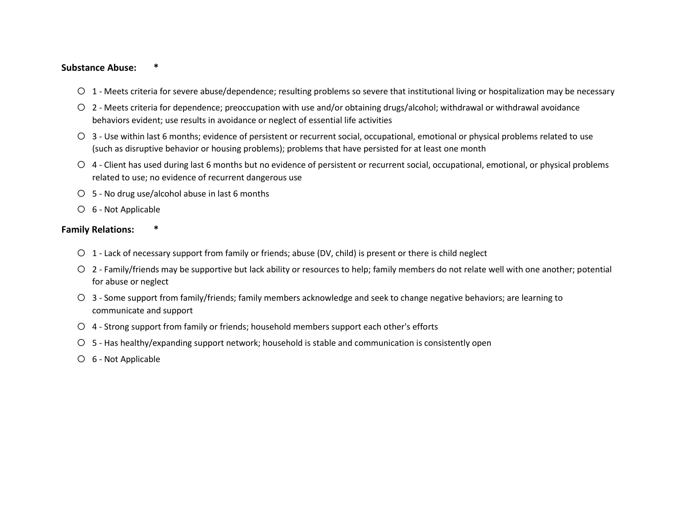## **Substance Abuse: \***

- o 1 Meets criteria for severe abuse/dependence; resulting problems so severe that institutional living or hospitalization may be necessary
- o 2 Meets criteria for dependence; preoccupation with use and/or obtaining drugs/alcohol; withdrawal or withdrawal avoidance behaviors evident; use results in avoidance or neglect of essential life activities
- o 3 Use within last 6 months; evidence of persistent or recurrent social, occupational, emotional or physical problems related to use (such as disruptive behavior or housing problems); problems that have persisted for at least one month
- o 4 Client has used during last 6 months but no evidence of persistent or recurrent social, occupational, emotional, or physical problems related to use; no evidence of recurrent dangerous use
- o 5 No drug use/alcohol abuse in last 6 months
- o 6 Not Applicable

## **Family Relations: \***

- o 1 Lack of necessary support from family or friends; abuse (DV, child) is present or there is child neglect
- o 2 Family/friends may be supportive but lack ability or resources to help; family members do not relate well with one another; potential for abuse or neglect
- o 3 Some support from family/friends; family members acknowledge and seek to change negative behaviors; are learning to communicate and support
- o 4 Strong support from family or friends; household members support each other's efforts
- o 5 Has healthy/expanding support network; household is stable and communication is consistently open
- o 6 Not Applicable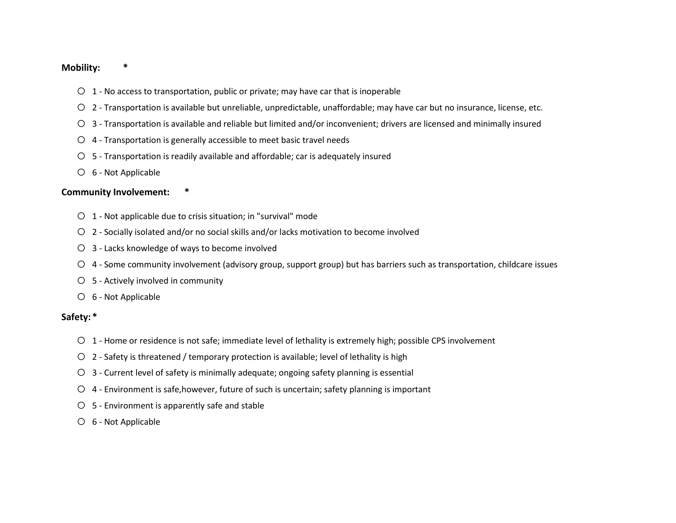#### **Mobility: \***

- $O<sub>1</sub>$  No access to transportation, public or private; may have car that is inoperable
- o 2 Transportation is available but unreliable, unpredictable, unaffordable; may have car but no insurance, license, etc.
- o 3 Transportation is available and reliable but limited and/or inconvenient; drivers are licensed and minimally insured
- $\circ$  4 Transportation is generally accessible to meet basic travel needs
- $O$  5 Transportation is readily available and affordable; car is adequately insured
- o 6 Not Applicable

#### **Community Involvement: \***

- o 1 Not applicable due to crisis situation; in "survival" mode
- o 2 Socially isolated and/or no social skills and/or lacks motivation to become involved
- o 3 Lacks knowledge of ways to become involved
- o 4 Some community involvement (advisory group, support group) but has barriers such as transportation, childcare issues
- o 5 Actively involved in community
- o 6 Not Applicable

## **Safety: \***

- o 1 Home or residence is not safe; immediate level of lethality is extremely high; possible CPS involvement
- $\circ$  2 Safety is threatened / temporary protection is available; level of lethality is high
- $\circ$  3 Current level of safety is minimally adequate; ongoing safety planning is essential
- o 4 Environment is safe,however, future of such is uncertain; safety planning is important
- $O$  5 Environment is apparently safe and stable
- o 6 Not Applicable